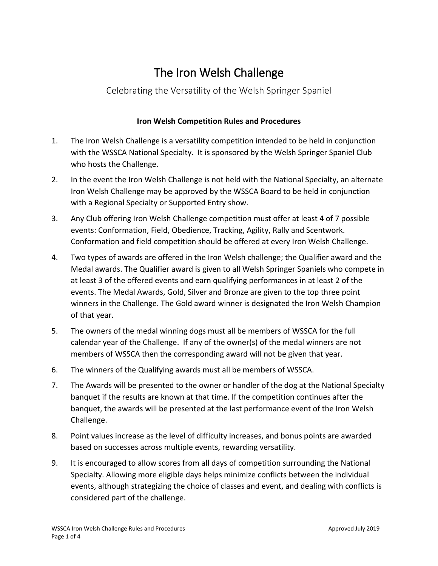# The Iron Welsh Challenge

### Celebrating the Versatility of the Welsh Springer Spaniel

### **Iron Welsh Competition Rules and Procedures**

- 1. The Iron Welsh Challenge is a versatility competition intended to be held in conjunction with the WSSCA National Specialty. It is sponsored by the Welsh Springer Spaniel Club who hosts the Challenge.
- 2. In the event the Iron Welsh Challenge is not held with the National Specialty, an alternate Iron Welsh Challenge may be approved by the WSSCA Board to be held in conjunction with a Regional Specialty or Supported Entry show.
- 3. Any Club offering Iron Welsh Challenge competition must offer at least 4 of 7 possible events: Conformation, Field, Obedience, Tracking, Agility, Rally and Scentwork. Conformation and field competition should be offered at every Iron Welsh Challenge.
- 4. Two types of awards are offered in the Iron Welsh challenge; the Qualifier award and the Medal awards. The Qualifier award is given to all Welsh Springer Spaniels who compete in at least 3 of the offered events and earn qualifying performances in at least 2 of the events. The Medal Awards, Gold, Silver and Bronze are given to the top three point winners in the Challenge. The Gold award winner is designated the Iron Welsh Champion of that year.
- 5. The owners of the medal winning dogs must all be members of WSSCA for the full calendar year of the Challenge. If any of the owner(s) of the medal winners are not members of WSSCA then the corresponding award will not be given that year.
- 6. The winners of the Qualifying awards must all be members of WSSCA.
- 7. The Awards will be presented to the owner or handler of the dog at the National Specialty banquet if the results are known at that time. If the competition continues after the banquet, the awards will be presented at the last performance event of the Iron Welsh Challenge.
- 8. Point values increase as the level of difficulty increases, and bonus points are awarded based on successes across multiple events, rewarding versatility.
- 9. It is encouraged to allow scores from all days of competition surrounding the National Specialty. Allowing more eligible days helps minimize conflicts between the individual events, although strategizing the choice of classes and event, and dealing with conflicts is considered part of the challenge.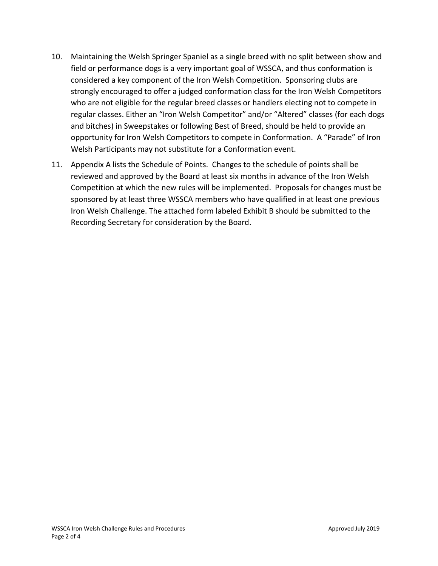- 10. Maintaining the Welsh Springer Spaniel as a single breed with no split between show and field or performance dogs is a very important goal of WSSCA, and thus conformation is considered a key component of the Iron Welsh Competition. Sponsoring clubs are strongly encouraged to offer a judged conformation class for the Iron Welsh Competitors who are not eligible for the regular breed classes or handlers electing not to compete in regular classes. Either an "Iron Welsh Competitor" and/or "Altered" classes (for each dogs and bitches) in Sweepstakes or following Best of Breed, should be held to provide an opportunity for Iron Welsh Competitors to compete in Conformation. A "Parade" of Iron Welsh Participants may not substitute for a Conformation event.
- 11. Appendix A lists the Schedule of Points. Changes to the schedule of points shall be reviewed and approved by the Board at least six months in advance of the Iron Welsh Competition at which the new rules will be implemented. Proposals for changes must be sponsored by at least three WSSCA members who have qualified in at least one previous Iron Welsh Challenge. The attached form labeled Exhibit B should be submitted to the Recording Secretary for consideration by the Board.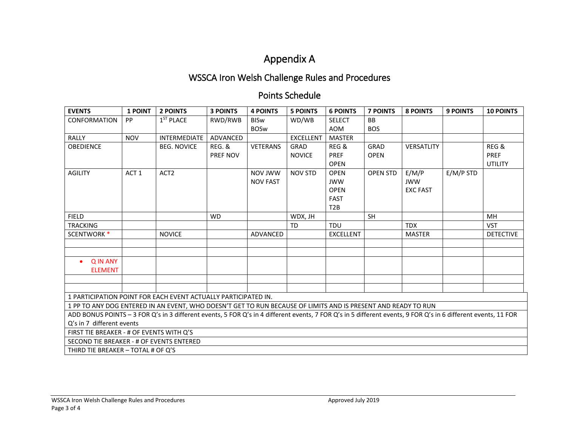## Appendix A

## WSSCA Iron Welsh Challenge Rules and Procedures

### Points Schedule

| <b>EVENTS</b>                                                                                                                                                 | 1 POINT          | <b>2 POINTS</b>    | <b>3 POINTS</b>   | <b>4 POINTS</b> | <b>5 POINTS</b>  | <b>6 POINTS</b>  | <b>7 POINTS</b> | <b>8 POINTS</b> | <b>9 POINTS</b> | <b>10 POINTS</b> |
|---------------------------------------------------------------------------------------------------------------------------------------------------------------|------------------|--------------------|-------------------|-----------------|------------------|------------------|-----------------|-----------------|-----------------|------------------|
| <b>CONFORMATION</b>                                                                                                                                           | <b>PP</b>        | $1ST$ PLACE        | RWD/RWB           | <b>BISw</b>     | WD/WB            | <b>SELECT</b>    | <b>BB</b>       |                 |                 |                  |
|                                                                                                                                                               |                  |                    |                   | <b>BOSw</b>     |                  | <b>AOM</b>       | <b>BOS</b>      |                 |                 |                  |
| <b>RALLY</b>                                                                                                                                                  | <b>NOV</b>       | INTERMEDIATE       | ADVANCED          |                 | <b>EXCELLENT</b> | <b>MASTER</b>    |                 |                 |                 |                  |
| <b>OBEDIENCE</b>                                                                                                                                              |                  | <b>BEG. NOVICE</b> | <b>REG. &amp;</b> | <b>VETERANS</b> | GRAD             | REG &            | GRAD            | VERSATLITY      |                 | REG &            |
|                                                                                                                                                               |                  |                    | PREF NOV          |                 | <b>NOVICE</b>    | <b>PREF</b>      | <b>OPEN</b>     |                 |                 | <b>PREF</b>      |
|                                                                                                                                                               |                  |                    |                   |                 |                  | <b>OPEN</b>      |                 |                 |                 | <b>UTILITY</b>   |
| <b>AGILITY</b>                                                                                                                                                | ACT <sub>1</sub> | ACT <sub>2</sub>   |                   | NOV JWW         | <b>NOV STD</b>   | <b>OPEN</b>      | <b>OPEN STD</b> | E/M/P           | $E/M/P$ STD     |                  |
|                                                                                                                                                               |                  |                    |                   | <b>NOV FAST</b> |                  | <b>JWW</b>       |                 | <b>JWW</b>      |                 |                  |
|                                                                                                                                                               |                  |                    |                   |                 |                  | <b>OPEN</b>      |                 | <b>EXC FAST</b> |                 |                  |
|                                                                                                                                                               |                  |                    |                   |                 |                  | <b>FAST</b>      |                 |                 |                 |                  |
|                                                                                                                                                               |                  |                    |                   |                 |                  | T <sub>2</sub> B |                 |                 |                 |                  |
| <b>FIELD</b>                                                                                                                                                  |                  |                    | <b>WD</b>         |                 | WDX, JH          |                  | <b>SH</b>       |                 |                 | MH               |
| <b>TRACKING</b>                                                                                                                                               |                  |                    |                   |                 | TD               | <b>TDU</b>       |                 | <b>TDX</b>      |                 | <b>VST</b>       |
| SCENTWORK <sup>*</sup>                                                                                                                                        |                  | <b>NOVICE</b>      |                   | ADVANCED        |                  | <b>EXCELLENT</b> |                 | <b>MASTER</b>   |                 | <b>DETECTIVE</b> |
|                                                                                                                                                               |                  |                    |                   |                 |                  |                  |                 |                 |                 |                  |
|                                                                                                                                                               |                  |                    |                   |                 |                  |                  |                 |                 |                 |                  |
| <b>QIN ANY</b>                                                                                                                                                |                  |                    |                   |                 |                  |                  |                 |                 |                 |                  |
| <b>ELEMENT</b>                                                                                                                                                |                  |                    |                   |                 |                  |                  |                 |                 |                 |                  |
|                                                                                                                                                               |                  |                    |                   |                 |                  |                  |                 |                 |                 |                  |
|                                                                                                                                                               |                  |                    |                   |                 |                  |                  |                 |                 |                 |                  |
| 1 PARTICIPATION POINT FOR EACH EVENT ACTUALLY PARTICIPATED IN.                                                                                                |                  |                    |                   |                 |                  |                  |                 |                 |                 |                  |
| 1 PP TO ANY DOG ENTERED IN AN EVENT, WHO DOESN'T GET TO RUN BECAUSE OF LIMITS AND IS PRESENT AND READY TO RUN                                                 |                  |                    |                   |                 |                  |                  |                 |                 |                 |                  |
| ADD BONUS POINTS - 3 FOR Q's in 3 different events, 5 FOR Q's in 4 different events, 7 FOR Q's in 5 different events, 9 FOR Q's in 6 different events, 11 FOR |                  |                    |                   |                 |                  |                  |                 |                 |                 |                  |
| Q's in 7 different events                                                                                                                                     |                  |                    |                   |                 |                  |                  |                 |                 |                 |                  |
| FIRST TIE BREAKER - # OF EVENTS WITH Q'S                                                                                                                      |                  |                    |                   |                 |                  |                  |                 |                 |                 |                  |
| SECOND TIE BREAKER - # OF EVENTS ENTERED                                                                                                                      |                  |                    |                   |                 |                  |                  |                 |                 |                 |                  |
| THIRD TIE BREAKER - TOTAL # OF Q'S                                                                                                                            |                  |                    |                   |                 |                  |                  |                 |                 |                 |                  |